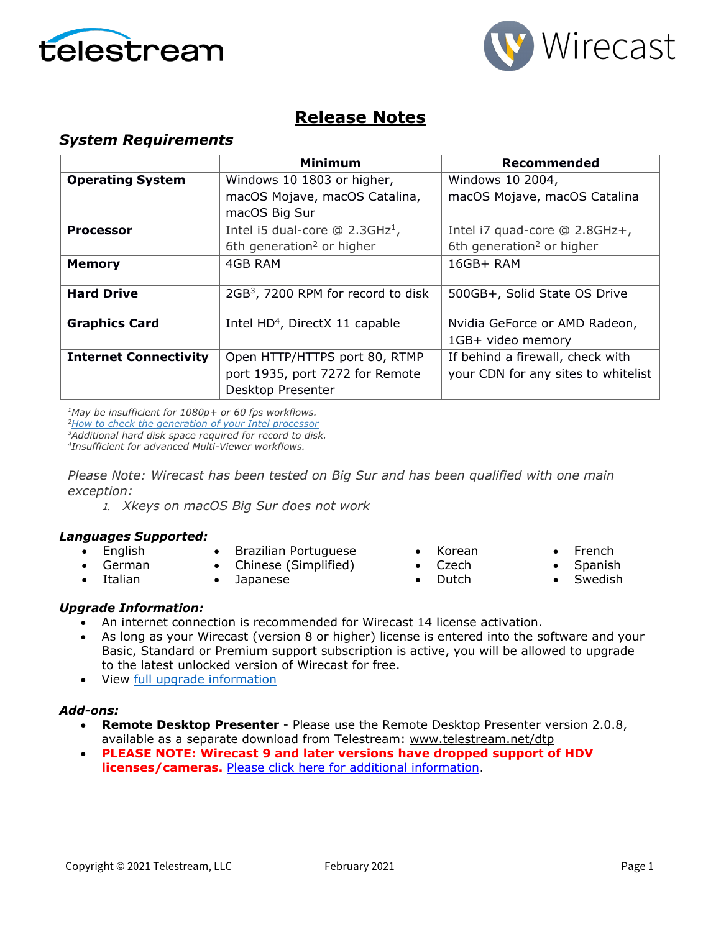



### **Release Notes**

### *System Requirements*

|                              | <b>Minimum</b>                                 | Recommended                           |
|------------------------------|------------------------------------------------|---------------------------------------|
| <b>Operating System</b>      | Windows 10 1803 or higher,                     | Windows 10 2004,                      |
|                              | macOS Mojave, macOS Catalina,                  | macOS Mojave, macOS Catalina          |
|                              | macOS Big Sur                                  |                                       |
| <b>Processor</b>             | Intel i5 dual-core $@$ 2.3GHz <sup>1</sup> ,   | Intel i7 quad-core @ 2.8GHz+,         |
|                              | 6th generation <sup>2</sup> or higher          | 6th generation <sup>2</sup> or higher |
| <b>Memory</b>                | 4GB RAM                                        | 16GB+ RAM                             |
|                              |                                                |                                       |
| <b>Hard Drive</b>            | 2GB <sup>3</sup> , 7200 RPM for record to disk | 500GB+, Solid State OS Drive          |
|                              |                                                |                                       |
| <b>Graphics Card</b>         | Intel HD <sup>4</sup> , DirectX 11 capable     | Nvidia GeForce or AMD Radeon,         |
|                              |                                                | 1GB+ video memory                     |
| <b>Internet Connectivity</b> | Open HTTP/HTTPS port 80, RTMP                  | If behind a firewall, check with      |
|                              | port 1935, port 7272 for Remote                | your CDN for any sites to whitelist   |
|                              | Desktop Presenter                              |                                       |

*1May be insufficient for 1080p+ or 60 fps workflows.*

*[2How to check the generation of your Intel processor](http://www.telestream.net/telestream-support/wire-cast/faq.htm?kbURL=http://telestream.force.com/kb/articles/Knowledge_Article/Wirecast-How-to-check-the-generation-of-your-Intel-processor/)*

*3Additional hard disk space required for record to disk.*

*4Insufficient for advanced Multi-Viewer workflows.*

*Please Note: Wirecast has been tested on Big Sur and has been qualified with one main exception:*

1. *Xkeys on macOS Big Sur does not work*

#### *Languages Supported:*

- English
- Brazilian Portuguese • Chinese (Simplified)
- German • Italian
- Japanese
- Korean
- Czech
- Dutch
- French
- Spanish
- **Swedish**

#### *Upgrade Information:*

- An internet connection is recommended for Wirecast 14 license activation.
- As long as your Wirecast (version 8 or higher) license is entered into the software and your Basic, Standard or Premium support subscription is active, you will be allowed to upgrade to the latest unlocked version of Wirecast for free.
- View [full upgrade information](http://www.telestream.net/wirecast/upgrade.htm#upgrade)

#### *Add-ons:*

- **Remote Desktop Presenter**  Please use the Remote Desktop Presenter version 2.0.8, available as a separate download from Telestream: [www.telestream.net/dtp](http://www.telestream.net/dtp)
- **PLEASE NOTE: Wirecast 9 and later versions have dropped support of HDV licenses/cameras.** [Please click here for additional information.](http://www.telestream.net/telestream-support/wire-cast/faq.htm?kbURL=http://telestream.force.com/kb/articles/Knowledge_Article/Wirecast-HDV-Firewire-No-longer-Supported/)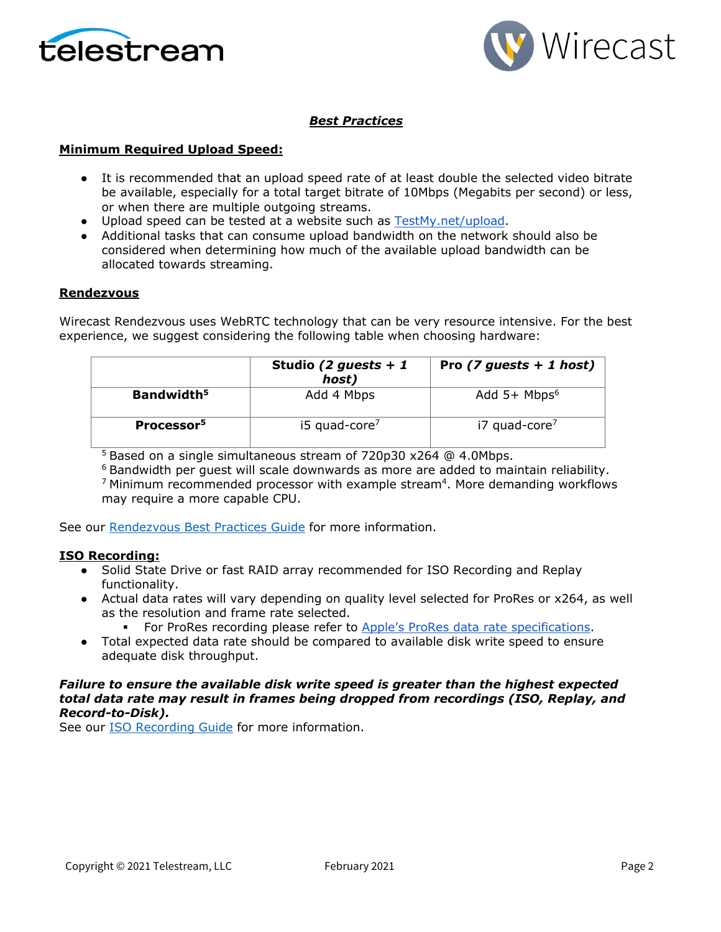



### *Best Practices*

#### **Minimum Required Upload Speed:**

- It is recommended that an upload speed rate of at least double the selected video bitrate be available, especially for a total target bitrate of 10Mbps (Megabits per second) or less, or when there are multiple outgoing streams.
- Upload speed can be tested at a website such as [TestMy.net/upload.](http://testmy.net/upload)
- Additional tasks that can consume upload bandwidth on the network should also be considered when determining how much of the available upload bandwidth can be allocated towards streaming.

#### **Rendezvous**

Wirecast Rendezvous uses WebRTC technology that can be very resource intensive. For the best experience, we suggest considering the following table when choosing hardware:

|                        | Studio (2 guests + 1<br>host) | Pro $(7$ guests + 1 host)  |
|------------------------|-------------------------------|----------------------------|
| Bandwidth <sup>5</sup> | Add 4 Mbps                    | Add $5+$ Mbps <sup>6</sup> |
| Processor <sup>5</sup> | i5 quad-core <sup>7</sup>     | i7 quad-core <sup>7</sup>  |

<sup>5</sup> Based on a single simultaneous stream of 720p30 x264 @ 4.0Mbps.

 $6$  Bandwidth per quest will scale downwards as more are added to maintain reliability.  $7$  Minimum recommended processor with example stream<sup>4</sup>. More demanding workflows may require a more capable CPU.

See our [Rendezvous Best Practices Guide](http://www.telestream.net/pdfs/technical/Wirecast-Rendezvous-Best-Practices-Guide.pdf) for more information.

#### **ISO Recording:**

- Solid State Drive or fast RAID array recommended for ISO Recording and Replay functionality.
- Actual data rates will vary depending on quality level selected for ProRes or x264, as well as the resolution and frame rate selected.
	- For ProRes recording please refer to [Apple's ProRes data rate specifications.](https://en.wikipedia.org/wiki/Apple_ProRes#ProRes-Overview)
- Total expected data rate should be compared to available disk write speed to ensure adequate disk throughput.

#### *Failure to ensure the available disk write speed is greater than the highest expected total data rate may result in frames being dropped from recordings (ISO, Replay, and Record-to-Disk).*

See our [ISO Recording Guide](https://www.telestream.net/pdfs/technical/Wirecast-ISO-Best-Practices-Guide.pdf) for more information.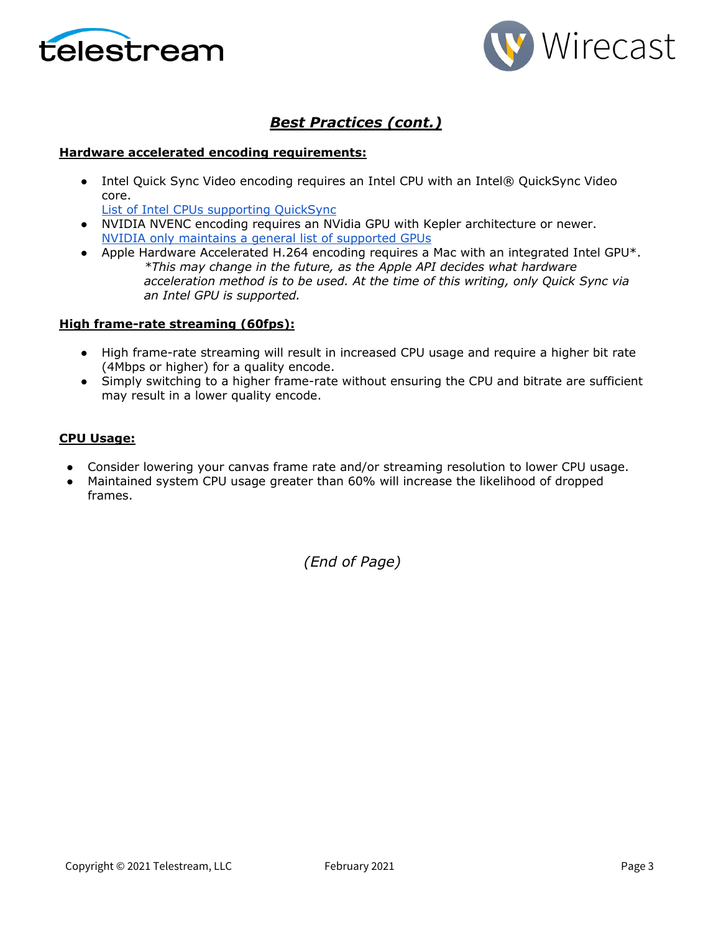



### *Best Practices (cont.)*

#### **Hardware accelerated encoding requirements:**

● Intel Quick Sync Video encoding requires an Intel CPU with an Intel® QuickSync Video core[.](http://ark.intel.com/search/advanced?QuickSyncVideo=true&MarketSegment=DT)

[List of Intel CPUs supporting QuickSync](https://ark.intel.com/content/www/us/en/ark/search/featurefilter.html?productType=873&0_QuickSyncVideo=True)

- NVIDIA NVENC encoding requires an NVidia GPU with Kepler architecture or newer[.](https://developer.nvidia.com/nvidia-video-codec-sdk) [NVIDIA only maintains a general list of supported GPUs](https://developer.nvidia.com/nvidia-video-codec-sdk)
- Apple Hardware Accelerated H.264 encoding requires a Mac with an integrated Intel GPU\*. *\*This may change in the future, as the Apple API decides what hardware acceleration method is to be used. At the time of this writing, only Quick Sync via an Intel GPU is supported.*

#### **High frame-rate streaming (60fps):**

- High frame-rate streaming will result in increased CPU usage and require a higher bit rate (4Mbps or higher) for a quality encode.
- Simply switching to a higher frame-rate without ensuring the CPU and bitrate are sufficient may result in a lower quality encode.

#### **CPU Usage:**

- Consider lowering your canvas frame rate and/or streaming resolution to lower CPU usage.
- Maintained system CPU usage greater than 60% will increase the likelihood of dropped frames.

*(End of Page)*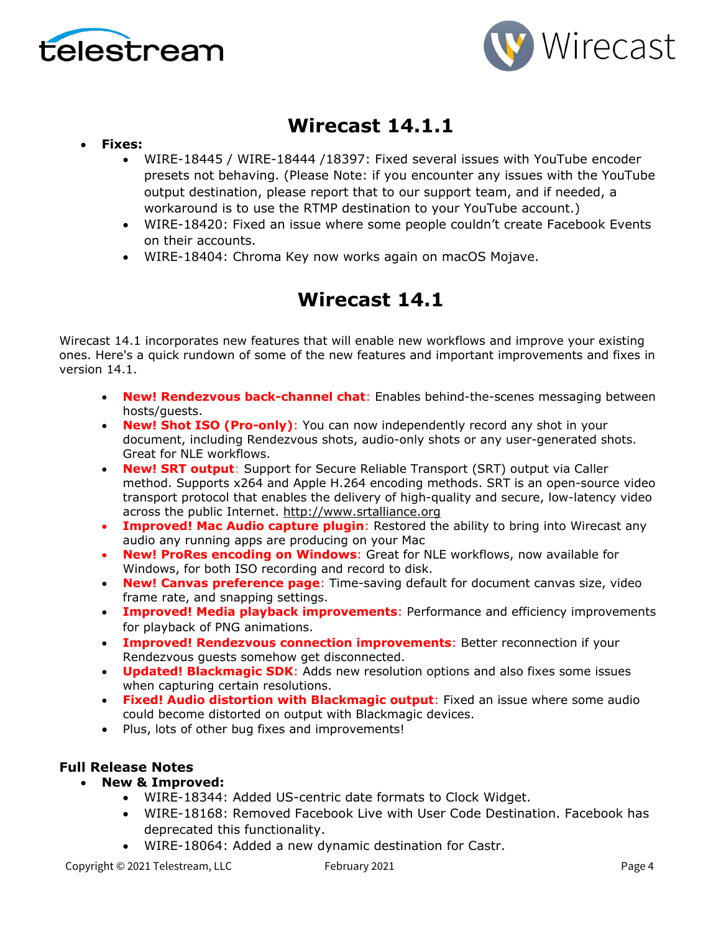



# **Wirecast 14.1.1**

- **Fixes:**
	- WIRE-18445 / WIRE-18444 /18397: Fixed several issues with YouTube encoder presets not behaving. (Please Note: if you encounter any issues with the YouTube output destination, please report that to our support team, and if needed, a workaround is to use the RTMP destination to your YouTube account.)
	- WIRE-18420: Fixed an issue where some people couldn't create Facebook Events on their accounts.
	- WIRE-18404: Chroma Key now works again on macOS Mojave.

# **Wirecast 14.1**

Wirecast 14.1 incorporates new features that will enable new workflows and improve your existing ones. Here's a quick rundown of some of the new features and important improvements and fixes in version 14.1.

- **New! Rendezvous back-channel chat**: Enables behind-the-scenes messaging between hosts/guests.
- **New! Shot ISO (Pro-only)**: You can now independently record any shot in your document, including Rendezvous shots, audio-only shots or any user-generated shots. Great for NLE workflows.
- **New! SRT output**: Support for Secure Reliable Transport (SRT) output via Caller method. Supports x264 and Apple H.264 encoding methods. SRT is an open-source video transport protocol that enables the delivery of high-quality and secure, low-latency video across the public Internet. [http://www.srtalliance.org](http://www.srtalliance.org/)
- **Improved! Mac Audio capture plugin**: Restored the ability to bring into Wirecast any audio any running apps are producing on your Mac
- **New! ProRes encoding on Windows**: Great for NLE workflows, now available for Windows, for both ISO recording and record to disk.
- **New! Canvas preference page**: Time-saving default for document canvas size, video frame rate, and snapping settings.
- **Improved! Media playback improvements**: Performance and efficiency improvements for playback of PNG animations.
- **Improved! Rendezvous connection improvements**: Better reconnection if your Rendezvous guests somehow get disconnected.
- **Updated! Blackmagic SDK**: Adds new resolution options and also fixes some issues when capturing certain resolutions.
- **Fixed! Audio distortion with Blackmagic output**: Fixed an issue where some audio could become distorted on output with Blackmagic devices.
- Plus, lots of other bug fixes and improvements!

### **Full Release Notes**

- **New & Improved:**
	- WIRE-18344: Added US-centric date formats to Clock Widget.
	- WIRE-18168: Removed Facebook Live with User Code Destination. Facebook has deprecated this functionality.
	- WIRE-18064: Added a new dynamic destination for Castr.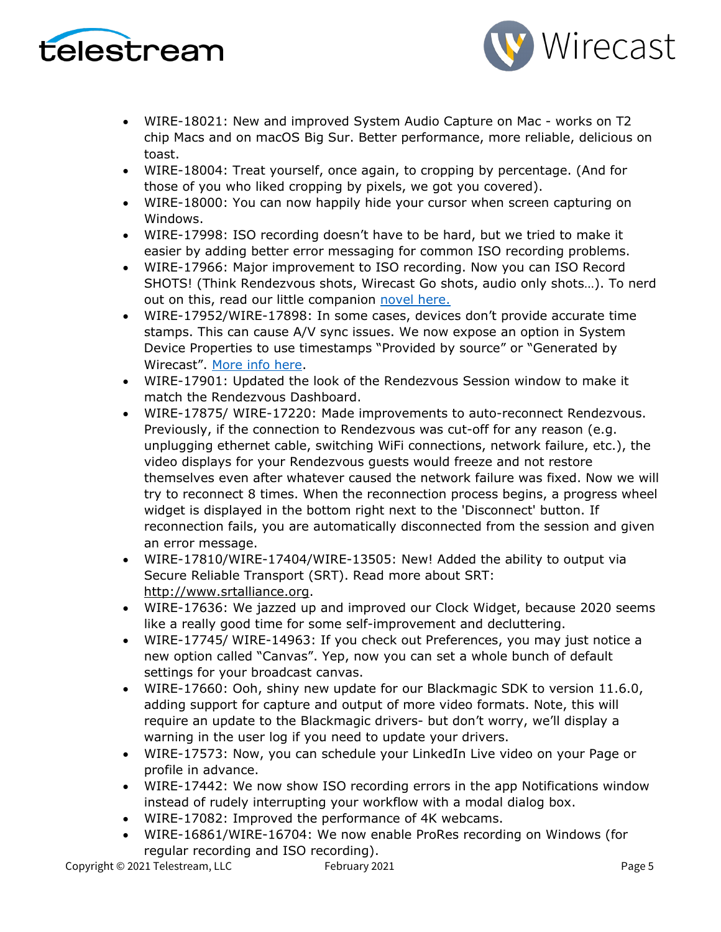



- WIRE-18021: New and improved System Audio Capture on Mac works on T2 chip Macs and on macOS Big Sur. Better performance, more reliable, delicious on toast.
- WIRE-18004: Treat yourself, once again, to cropping by percentage. (And for those of you who liked cropping by pixels, we got you covered).
- WIRE-18000: You can now happily hide your cursor when screen capturing on Windows.
- WIRE-17998: ISO recording doesn't have to be hard, but we tried to make it easier by adding better error messaging for common ISO recording problems.
- WIRE-17966: Major improvement to ISO recording. Now you can ISO Record SHOTS! (Think Rendezvous shots, Wirecast Go shots, audio only shots…). To nerd out on this, read our little companion [novel here.](https://www.telestream.net/download-files/wirecast/14-1/ISO-Recording-Changes.pdf)
- WIRE-17952/WIRE-17898: In some cases, devices don't provide accurate time stamps. This can cause A/V sync issues. We now expose an option in System Device Properties to use timestamps "Provided by source" or "Generated by Wirecast". [More info here.](http://telestream.force.com/kb/articles/Knowledge_Article/Wirecast-Timestamps-Option/)
- WIRE-17901: Updated the look of the Rendezvous Session window to make it match the Rendezvous Dashboard.
- WIRE-17875/ WIRE-17220: Made improvements to auto-reconnect Rendezvous. Previously, if the connection to Rendezvous was cut-off for any reason (e.g. unplugging ethernet cable, switching WiFi connections, network failure, etc.), the video displays for your Rendezvous guests would freeze and not restore themselves even after whatever caused the network failure was fixed. Now we will try to reconnect 8 times. When the reconnection process begins, a progress wheel widget is displayed in the bottom right next to the 'Disconnect' button. If reconnection fails, you are automatically disconnected from the session and given an error message.
- WIRE-17810/WIRE-17404/WIRE-13505: New! Added the ability to output via Secure Reliable Transport (SRT). Read more about SRT: [http://www.srtalliance.org.](http://www.srtalliance.org/)
- WIRE-17636: We jazzed up and improved our Clock Widget, because 2020 seems like a really good time for some self-improvement and decluttering.
- WIRE-17745/ WIRE-14963: If you check out Preferences, you may just notice a new option called "Canvas". Yep, now you can set a whole bunch of default settings for your broadcast canvas.
- WIRE-17660: Ooh, shiny new update for our Blackmagic SDK to version 11.6.0, adding support for capture and output of more video formats. Note, this will require an update to the Blackmagic drivers- but don't worry, we'll display a warning in the user log if you need to update your drivers.
- WIRE-17573: Now, you can schedule your LinkedIn Live video on your Page or profile in advance.
- WIRE-17442: We now show ISO recording errors in the app Notifications window instead of rudely interrupting your workflow with a modal dialog box.
- WIRE-17082: Improved the performance of 4K webcams.
- WIRE-16861/WIRE-16704: We now enable ProRes recording on Windows (for regular recording and ISO recording).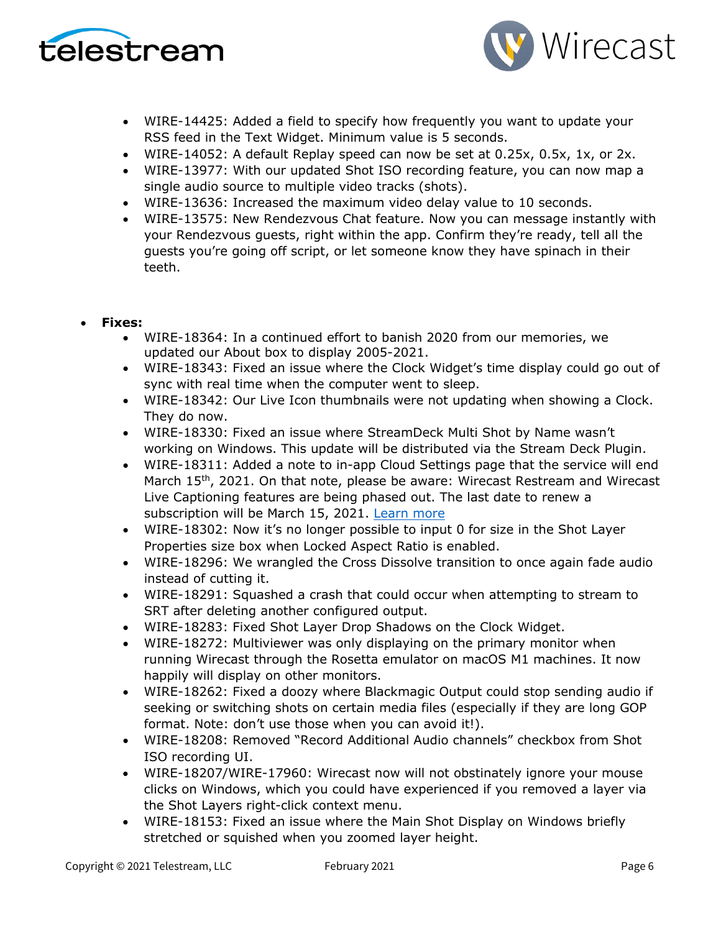



- WIRE-14425: Added a field to specify how frequently you want to update your RSS feed in the Text Widget. Minimum value is 5 seconds.
- WIRE-14052: A default Replay speed can now be set at 0.25x, 0.5x, 1x, or 2x.
- WIRE-13977: With our updated Shot ISO recording feature, you can now map a single audio source to multiple video tracks (shots).
- WIRE-13636: Increased the maximum video delay value to 10 seconds.
- WIRE-13575: New Rendezvous Chat feature. Now you can message instantly with your Rendezvous guests, right within the app. Confirm they're ready, tell all the guests you're going off script, or let someone know they have spinach in their teeth.

#### • **Fixes:**

- WIRE-18364: In a continued effort to banish 2020 from our memories, we updated our About box to display 2005-2021.
- WIRE-18343: Fixed an issue where the Clock Widget's time display could go out of sync with real time when the computer went to sleep.
- WIRE-18342: Our Live Icon thumbnails were not updating when showing a Clock. They do now.
- WIRE-18330: Fixed an issue where StreamDeck Multi Shot by Name wasn't working on Windows. This update will be distributed via the Stream Deck Plugin.
- WIRE-18311: Added a note to in-app Cloud Settings page that the service will end March 15<sup>th</sup>, 2021. On that note, please be aware: Wirecast Restream and Wirecast Live Captioning features are being phased out. The last date to renew a subscription will be March 15, 2021. [Learn more](http://www.telestream.net/telestream-support/wire-cast/faq.htm?kbURL=http://telestream.force.com/kb/articles/Knowledge_Article/Wirecast-Web-Services-Restream-Closed-Caption-Announcement)
- WIRE-18302: Now it's no longer possible to input 0 for size in the Shot Layer Properties size box when Locked Aspect Ratio is enabled.
- WIRE-18296: We wrangled the Cross Dissolve transition to once again fade audio instead of cutting it.
- WIRE-18291: Squashed a crash that could occur when attempting to stream to SRT after deleting another configured output.
- WIRE-18283: Fixed Shot Layer Drop Shadows on the Clock Widget.
- WIRE-18272: Multiviewer was only displaying on the primary monitor when running Wirecast through the Rosetta emulator on macOS M1 machines. It now happily will display on other monitors.
- WIRE-18262: Fixed a doozy where Blackmagic Output could stop sending audio if seeking or switching shots on certain media files (especially if they are long GOP format. Note: don't use those when you can avoid it!).
- WIRE-18208: Removed "Record Additional Audio channels" checkbox from Shot ISO recording UI.
- WIRE-18207/WIRE-17960: Wirecast now will not obstinately ignore your mouse clicks on Windows, which you could have experienced if you removed a layer via the Shot Layers right-click context menu.
- WIRE-18153: Fixed an issue where the Main Shot Display on Windows briefly stretched or squished when you zoomed layer height.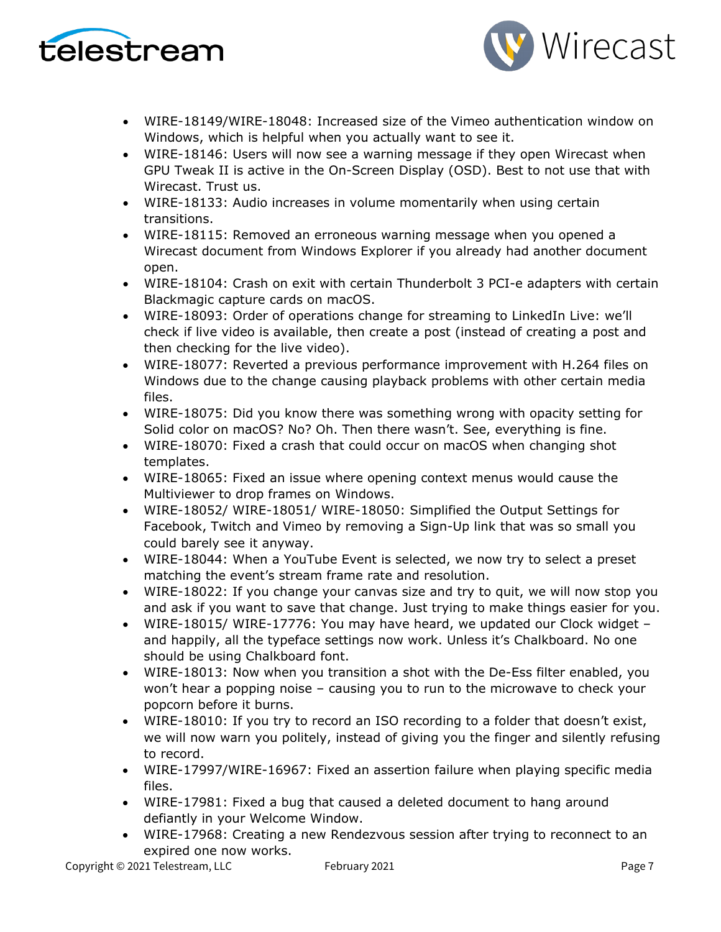



- WIRE-18149/WIRE-18048: Increased size of the Vimeo authentication window on Windows, which is helpful when you actually want to see it.
- WIRE-18146: Users will now see a warning message if they open Wirecast when GPU Tweak II is active in the On-Screen Display (OSD). Best to not use that with Wirecast. Trust us.
- WIRE-18133: Audio increases in volume momentarily when using certain transitions.
- WIRE-18115: Removed an erroneous warning message when you opened a Wirecast document from Windows Explorer if you already had another document open.
- WIRE-18104: Crash on exit with certain Thunderbolt 3 PCI-e adapters with certain Blackmagic capture cards on macOS.
- WIRE-18093: Order of operations change for streaming to LinkedIn Live: we'll check if live video is available, then create a post (instead of creating a post and then checking for the live video).
- WIRE-18077: Reverted a previous performance improvement with H.264 files on Windows due to the change causing playback problems with other certain media files.
- WIRE-18075: Did you know there was something wrong with opacity setting for Solid color on macOS? No? Oh. Then there wasn't. See, everything is fine.
- WIRE-18070: Fixed a crash that could occur on macOS when changing shot templates.
- WIRE-18065: Fixed an issue where opening context menus would cause the Multiviewer to drop frames on Windows.
- WIRE-18052/ WIRE-18051/ WIRE-18050: Simplified the Output Settings for Facebook, Twitch and Vimeo by removing a Sign-Up link that was so small you could barely see it anyway.
- WIRE-18044: When a YouTube Event is selected, we now try to select a preset matching the event's stream frame rate and resolution.
- WIRE-18022: If you change your canvas size and try to quit, we will now stop you and ask if you want to save that change. Just trying to make things easier for you.
- WIRE-18015/ WIRE-17776: You may have heard, we updated our Clock widget and happily, all the typeface settings now work. Unless it's Chalkboard. No one should be using Chalkboard font.
- WIRE-18013: Now when you transition a shot with the De-Ess filter enabled, you won't hear a popping noise – causing you to run to the microwave to check your popcorn before it burns.
- WIRE-18010: If you try to record an ISO recording to a folder that doesn't exist, we will now warn you politely, instead of giving you the finger and silently refusing to record.
- WIRE-17997/WIRE-16967: Fixed an assertion failure when playing specific media files.
- WIRE-17981: Fixed a bug that caused a deleted document to hang around defiantly in your Welcome Window.
- WIRE-17968: Creating a new Rendezvous session after trying to reconnect to an expired one now works.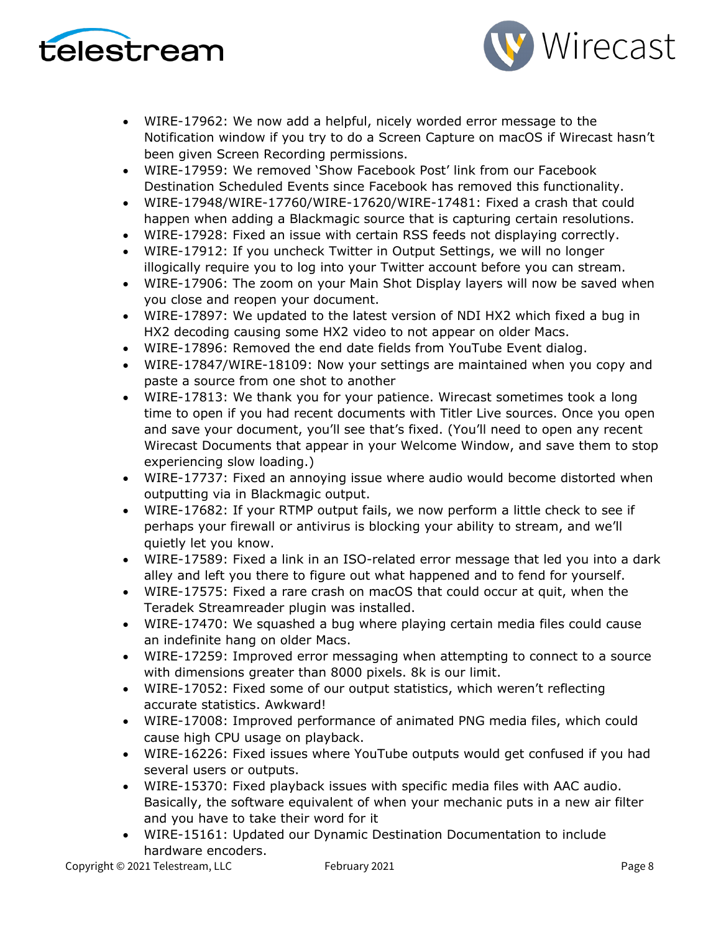



- WIRE-17962: We now add a helpful, nicely worded error message to the Notification window if you try to do a Screen Capture on macOS if Wirecast hasn't been given Screen Recording permissions.
- WIRE-17959: We removed 'Show Facebook Post' link from our Facebook Destination Scheduled Events since Facebook has removed this functionality.
- WIRE-17948/WIRE-17760/WIRE-17620/WIRE-17481: Fixed a crash that could happen when adding a Blackmagic source that is capturing certain resolutions.
- WIRE-17928: Fixed an issue with certain RSS feeds not displaying correctly.
- WIRE-17912: If you uncheck Twitter in Output Settings, we will no longer illogically require you to log into your Twitter account before you can stream.
- WIRE-17906: The zoom on your Main Shot Display layers will now be saved when you close and reopen your document.
- WIRE-17897: We updated to the latest version of NDI HX2 which fixed a bug in HX2 decoding causing some HX2 video to not appear on older Macs.
- WIRE-17896: Removed the end date fields from YouTube Event dialog.
- WIRE-17847/WIRE-18109: Now your settings are maintained when you copy and paste a source from one shot to another
- WIRE-17813: We thank you for your patience. Wirecast sometimes took a long time to open if you had recent documents with Titler Live sources. Once you open and save your document, you'll see that's fixed. (You'll need to open any recent Wirecast Documents that appear in your Welcome Window, and save them to stop experiencing slow loading.)
- WIRE-17737: Fixed an annoying issue where audio would become distorted when outputting via in Blackmagic output.
- WIRE-17682: If your RTMP output fails, we now perform a little check to see if perhaps your firewall or antivirus is blocking your ability to stream, and we'll quietly let you know.
- WIRE-17589: Fixed a link in an ISO-related error message that led you into a dark alley and left you there to figure out what happened and to fend for yourself.
- WIRE-17575: Fixed a rare crash on macOS that could occur at quit, when the Teradek Streamreader plugin was installed.
- WIRE-17470: We squashed a bug where playing certain media files could cause an indefinite hang on older Macs.
- WIRE-17259: Improved error messaging when attempting to connect to a source with dimensions greater than 8000 pixels. 8k is our limit.
- WIRE-17052: Fixed some of our output statistics, which weren't reflecting accurate statistics. Awkward!
- WIRE-17008: Improved performance of animated PNG media files, which could cause high CPU usage on playback.
- WIRE-16226: Fixed issues where YouTube outputs would get confused if you had several users or outputs.
- WIRE-15370: Fixed playback issues with specific media files with AAC audio. Basically, the software equivalent of when your mechanic puts in a new air filter and you have to take their word for it
- WIRE-15161: Updated our Dynamic Destination Documentation to include hardware encoders.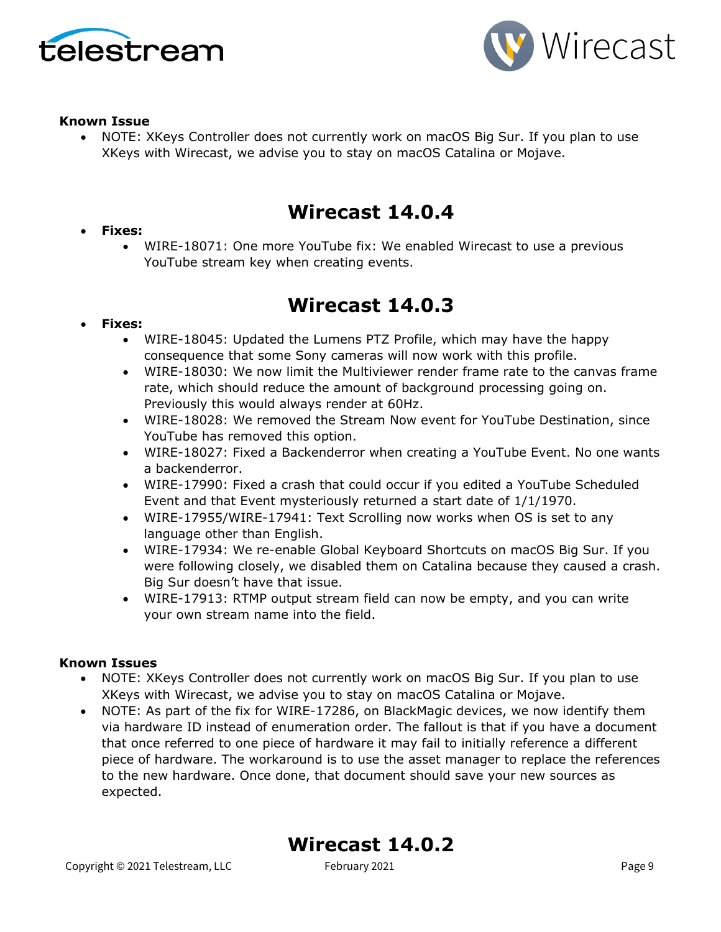



#### **Known Issue**

• NOTE: XKeys Controller does not currently work on macOS Big Sur. If you plan to use XKeys with Wirecast, we advise you to stay on macOS Catalina or Mojave.

# **Wirecast 14.0.4**

### • **Fixes:**

• WIRE-18071: One more YouTube fix: We enabled Wirecast to use a previous YouTube stream key when creating events.

# **Wirecast 14.0.3**

### • **Fixes:**

- WIRE-18045: Updated the Lumens PTZ Profile, which may have the happy consequence that some Sony cameras will now work with this profile.
- WIRE-18030: We now limit the Multiviewer render frame rate to the canvas frame rate, which should reduce the amount of background processing going on. Previously this would always render at 60Hz.
- WIRE-18028: We removed the Stream Now event for YouTube Destination, since YouTube has removed this option.
- WIRE-18027: Fixed a Backenderror when creating a YouTube Event. No one wants a backenderror.
- WIRE-17990: Fixed a crash that could occur if you edited a YouTube Scheduled Event and that Event mysteriously returned a start date of 1/1/1970.
- WIRE-17955/WIRE-17941: Text Scrolling now works when OS is set to any language other than English.
- WIRE-17934: We re-enable Global Keyboard Shortcuts on macOS Big Sur. If you were following closely, we disabled them on Catalina because they caused a crash. Big Sur doesn't have that issue.
- WIRE-17913: RTMP output stream field can now be empty, and you can write your own stream name into the field.

### **Known Issues**

- NOTE: XKeys Controller does not currently work on macOS Big Sur. If you plan to use XKeys with Wirecast, we advise you to stay on macOS Catalina or Mojave.
- NOTE: As part of the fix for WIRE-17286, on BlackMagic devices, we now identify them via hardware ID instead of enumeration order. The fallout is that if you have a document that once referred to one piece of hardware it may fail to initially reference a different piece of hardware. The workaround is to use the asset manager to replace the references to the new hardware. Once done, that document should save your new sources as expected.

### **Wirecast 14.0.2**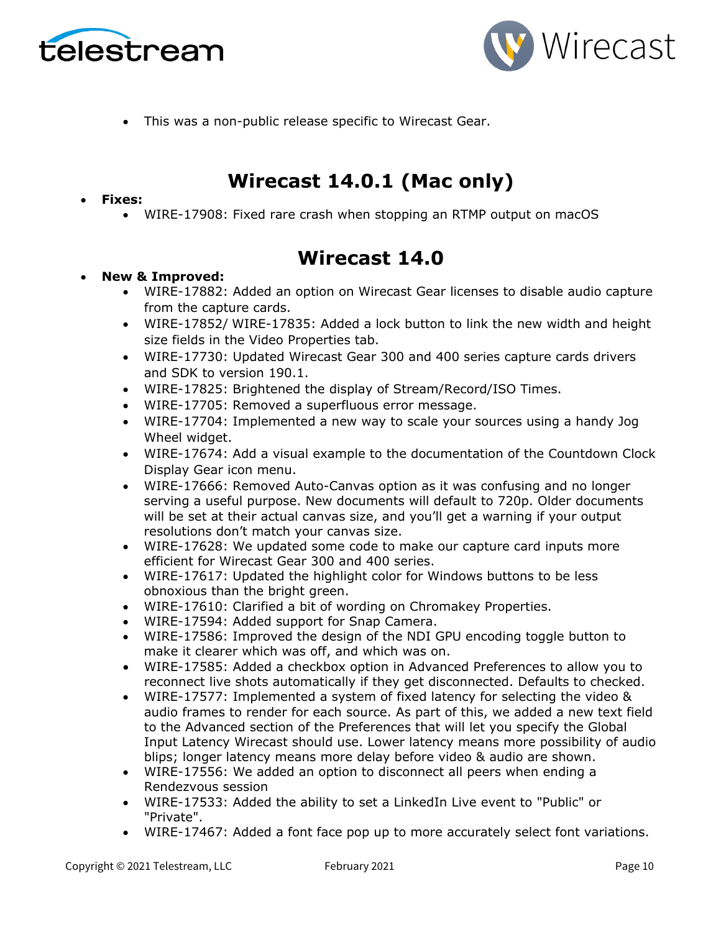



• This was a non-public release specific to Wirecast Gear.

# **Wirecast 14.0.1 (Mac only)**

#### • **Fixes:**

• WIRE-17908: Fixed rare crash when stopping an RTMP output on macOS

# **Wirecast 14.0**

#### • **New & Improved:**

- WIRE-17882: Added an option on Wirecast Gear licenses to disable audio capture from the capture cards.
- WIRE-17852/ WIRE-17835: Added a lock button to link the new width and height size fields in the Video Properties tab.
- WIRE-17730: Updated Wirecast Gear 300 and 400 series capture cards drivers and SDK to version 190.1.
- WIRE-17825: Brightened the display of Stream/Record/ISO Times.
- WIRE-17705: Removed a superfluous error message.
- WIRE-17704: Implemented a new way to scale your sources using a handy Jog Wheel widget.
- WIRE-17674: Add a visual example to the documentation of the Countdown Clock Display Gear icon menu.
- WIRE-17666: Removed Auto-Canvas option as it was confusing and no longer serving a useful purpose. New documents will default to 720p. Older documents will be set at their actual canvas size, and you'll get a warning if your output resolutions don't match your canvas size.
- WIRE-17628: We updated some code to make our capture card inputs more efficient for Wirecast Gear 300 and 400 series.
- WIRE-17617: Updated the highlight color for Windows buttons to be less obnoxious than the bright green.
- WIRE-17610: Clarified a bit of wording on Chromakey Properties.
- WIRE-17594: Added support for Snap Camera.
- WIRE-17586: Improved the design of the NDI GPU encoding toggle button to make it clearer which was off, and which was on.
- WIRE-17585: Added a checkbox option in Advanced Preferences to allow you to reconnect live shots automatically if they get disconnected. Defaults to checked.
- WIRE-17577: Implemented a system of fixed latency for selecting the video & audio frames to render for each source. As part of this, we added a new text field to the Advanced section of the Preferences that will let you specify the Global Input Latency Wirecast should use. Lower latency means more possibility of audio blips; longer latency means more delay before video & audio are shown.
- WIRE-17556: We added an option to disconnect all peers when ending a Rendezvous session
- WIRE-17533: Added the ability to set a LinkedIn Live event to "Public" or "Private".
- WIRE-17467: Added a font face pop up to more accurately select font variations.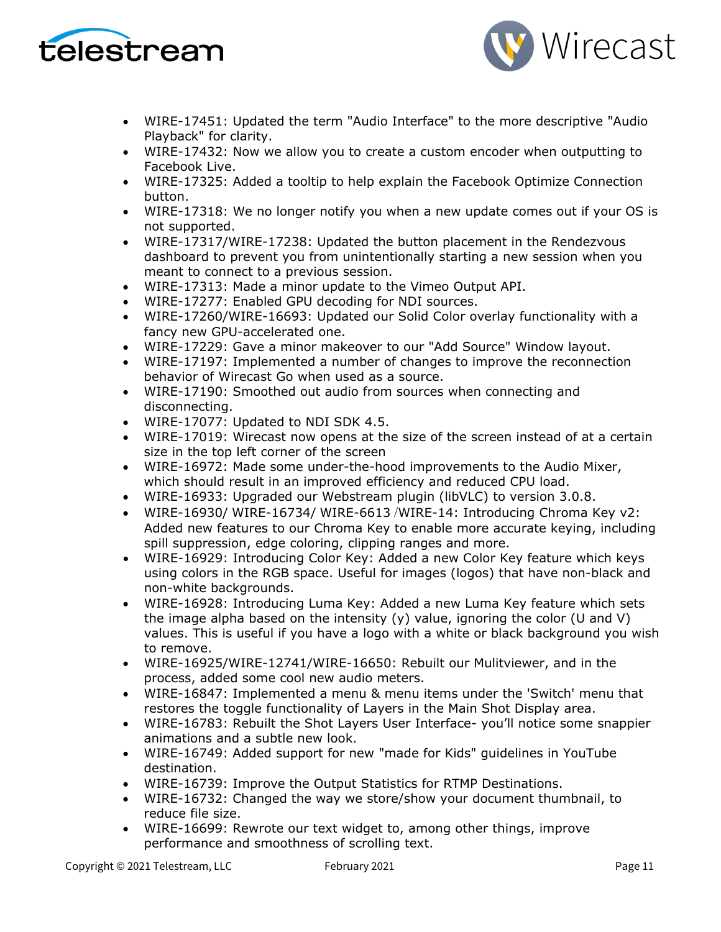



- WIRE-17451: Updated the term "Audio Interface" to the more descriptive "Audio Playback" for clarity.
- WIRE-17432: Now we allow you to create a custom encoder when outputting to Facebook Live.
- WIRE-17325: Added a tooltip to help explain the Facebook Optimize Connection button.
- WIRE-17318: We no longer notify you when a new update comes out if your OS is not supported.
- WIRE-17317/WIRE-17238: Updated the button placement in the Rendezvous dashboard to prevent you from unintentionally starting a new session when you meant to connect to a previous session.
- WIRE-17313: Made a minor update to the Vimeo Output API.
- WIRE-17277: Enabled GPU decoding for NDI sources.
- WIRE-17260/WIRE-16693: Updated our Solid Color overlay functionality with a fancy new GPU-accelerated one.
- WIRE-17229: Gave a minor makeover to our "Add Source" Window layout.
- WIRE-17197: Implemented a number of changes to improve the reconnection behavior of Wirecast Go when used as a source.
- WIRE-17190: Smoothed out audio from sources when connecting and disconnecting.
- WIRE-17077: Updated to NDI SDK 4.5.
- WIRE-17019: Wirecast now opens at the size of the screen instead of at a certain size in the top left corner of the screen
- WIRE-16972: Made some under-the-hood improvements to the Audio Mixer, which should result in an improved efficiency and reduced CPU load.
- WIRE-16933: Upgraded our Webstream plugin (libVLC) to version 3.0.8.
- WIRE-16930/ WIRE-16734/ WIRE-6613 /WIRE-14: Introducing Chroma Key v2: Added new features to our Chroma Key to enable more accurate keying, including spill suppression, edge coloring, clipping ranges and more.
- WIRE-16929: Introducing Color Key: Added a new Color Key feature which keys using colors in the RGB space. Useful for images (logos) that have non-black and non-white backgrounds.
- WIRE-16928: Introducing Luma Key: Added a new Luma Key feature which sets the image alpha based on the intensity (y) value, ignoring the color (U and V) values. This is useful if you have a logo with a white or black background you wish to remove.
- WIRE-16925/WIRE-12741/WIRE-16650: Rebuilt our Mulitviewer, and in the process, added some cool new audio meters.
- WIRE-16847: Implemented a menu & menu items under the 'Switch' menu that restores the toggle functionality of Layers in the Main Shot Display area.
- WIRE-16783: Rebuilt the Shot Layers User Interface- you'll notice some snappier animations and a subtle new look.
- WIRE-16749: Added support for new "made for Kids" guidelines in YouTube destination.
- WIRE-16739: Improve the Output Statistics for RTMP Destinations.
- WIRE-16732: Changed the way we store/show your document thumbnail, to reduce file size.
- WIRE-16699: Rewrote our text widget to, among other things, improve performance and smoothness of scrolling text.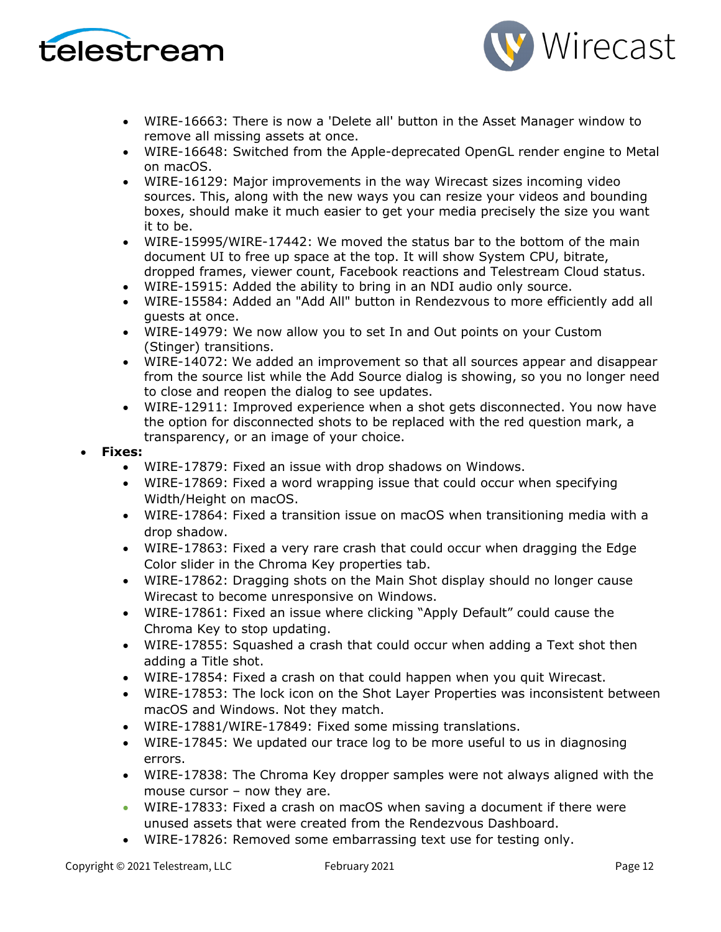



- WIRE-16663: There is now a 'Delete all' button in the Asset Manager window to remove all missing assets at once.
- WIRE-16648: Switched from the Apple-deprecated OpenGL render engine to Metal on macOS.
- WIRE-16129: Major improvements in the way Wirecast sizes incoming video sources. This, along with the new ways you can resize your videos and bounding boxes, should make it much easier to get your media precisely the size you want it to be.
- WIRE-15995/WIRE-17442: We moved the status bar to the bottom of the main document UI to free up space at the top. It will show System CPU, bitrate, dropped frames, viewer count, Facebook reactions and Telestream Cloud status.
- WIRE-15915: Added the ability to bring in an NDI audio only source.
- WIRE-15584: Added an "Add All" button in Rendezvous to more efficiently add all guests at once.
- WIRE-14979: We now allow you to set In and Out points on your Custom (Stinger) transitions.
- WIRE-14072: We added an improvement so that all sources appear and disappear from the source list while the Add Source dialog is showing, so you no longer need to close and reopen the dialog to see updates.
- WIRE-12911: Improved experience when a shot gets disconnected. You now have the option for disconnected shots to be replaced with the red question mark, a transparency, or an image of your choice.

#### • **Fixes:**

- WIRE-17879: Fixed an issue with drop shadows on Windows.
- WIRE-17869: Fixed a word wrapping issue that could occur when specifying Width/Height on macOS.
- WIRE-17864: Fixed a transition issue on macOS when transitioning media with a drop shadow.
- WIRE-17863: Fixed a very rare crash that could occur when dragging the Edge Color slider in the Chroma Key properties tab.
- WIRE-17862: Dragging shots on the Main Shot display should no longer cause Wirecast to become unresponsive on Windows.
- WIRE-17861: Fixed an issue where clicking "Apply Default" could cause the Chroma Key to stop updating.
- WIRE-17855: Squashed a crash that could occur when adding a Text shot then adding a Title shot.
- WIRE-17854: Fixed a crash on that could happen when you quit Wirecast.
- WIRE-17853: The lock icon on the Shot Layer Properties was inconsistent between macOS and Windows. Not they match.
- WIRE-17881/WIRE-17849: Fixed some missing translations.
- WIRE-17845: We updated our trace log to be more useful to us in diagnosing errors.
- WIRE-17838: The Chroma Key dropper samples were not always aligned with the mouse cursor – now they are.
- WIRE-17833: Fixed a crash on macOS when saving a document if there were unused assets that were created from the Rendezvous Dashboard.
- WIRE-17826: Removed some embarrassing text use for testing only.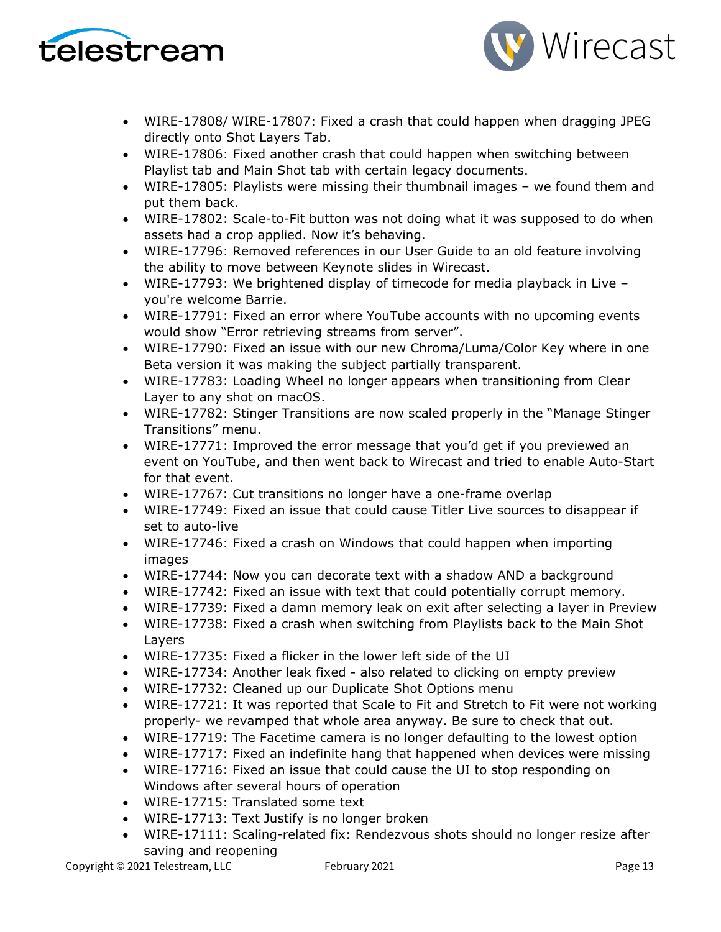



- WIRE-17808/ WIRE-17807: Fixed a crash that could happen when dragging JPEG directly onto Shot Layers Tab.
- WIRE-17806: Fixed another crash that could happen when switching between Playlist tab and Main Shot tab with certain legacy documents.
- WIRE-17805: Playlists were missing their thumbnail images we found them and put them back.
- WIRE-17802: Scale-to-Fit button was not doing what it was supposed to do when assets had a crop applied. Now it's behaving.
- WIRE-17796: Removed references in our User Guide to an old feature involving the ability to move between Keynote slides in Wirecast.
- WIRE-17793: We brightened display of timecode for media playback in Live you're welcome Barrie.
- WIRE-17791: Fixed an error where YouTube accounts with no upcoming events would show "Error retrieving streams from server".
- WIRE-17790: Fixed an issue with our new Chroma/Luma/Color Key where in one Beta version it was making the subject partially transparent.
- WIRE-17783: Loading Wheel no longer appears when transitioning from Clear Layer to any shot on macOS.
- WIRE-17782: Stinger Transitions are now scaled properly in the "Manage Stinger Transitions" menu.
- WIRE-17771: Improved the error message that you'd get if you previewed an event on YouTube, and then went back to Wirecast and tried to enable Auto-Start for that event.
- WIRE-17767: Cut transitions no longer have a one-frame overlap
- WIRE-17749: Fixed an issue that could cause Titler Live sources to disappear if set to auto-live
- WIRE-17746: Fixed a crash on Windows that could happen when importing images
- WIRE-17744: Now you can decorate text with a shadow AND a background
- WIRE-17742: Fixed an issue with text that could potentially corrupt memory.
- WIRE-17739: Fixed a damn memory leak on exit after selecting a layer in Preview
- WIRE-17738: Fixed a crash when switching from Playlists back to the Main Shot Layers
- WIRE-17735: Fixed a flicker in the lower left side of the UI
- WIRE-17734: Another leak fixed also related to clicking on empty preview
- WIRE-17732: Cleaned up our Duplicate Shot Options menu
- WIRE-17721: It was reported that Scale to Fit and Stretch to Fit were not working properly- we revamped that whole area anyway. Be sure to check that out.
- WIRE-17719: The Facetime camera is no longer defaulting to the lowest option
- WIRE-17717: Fixed an indefinite hang that happened when devices were missing
- WIRE-17716: Fixed an issue that could cause the UI to stop responding on Windows after several hours of operation
- WIRE-17715: Translated some text
- WIRE-17713: Text Justify is no longer broken
- WIRE-17111: Scaling-related fix: Rendezvous shots should no longer resize after saving and reopening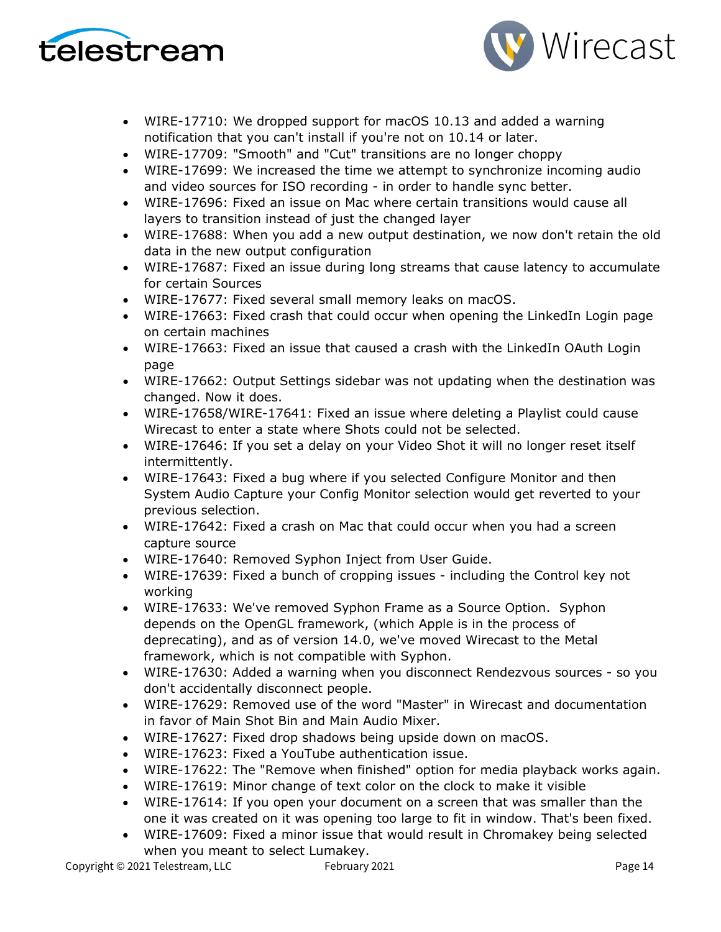



- WIRE-17710: We dropped support for macOS 10.13 and added a warning notification that you can't install if you're not on 10.14 or later.
- WIRE-17709: "Smooth" and "Cut" transitions are no longer choppy
- WIRE-17699: We increased the time we attempt to synchronize incoming audio and video sources for ISO recording - in order to handle sync better.
- WIRE-17696: Fixed an issue on Mac where certain transitions would cause all layers to transition instead of just the changed layer
- WIRE-17688: When you add a new output destination, we now don't retain the old data in the new output configuration
- WIRE-17687: Fixed an issue during long streams that cause latency to accumulate for certain Sources
- WIRE-17677: Fixed several small memory leaks on macOS.
- WIRE-17663: Fixed crash that could occur when opening the LinkedIn Login page on certain machines
- WIRE-17663: Fixed an issue that caused a crash with the LinkedIn OAuth Login page
- WIRE-17662: Output Settings sidebar was not updating when the destination was changed. Now it does.
- WIRE-17658/WIRE-17641: Fixed an issue where deleting a Playlist could cause Wirecast to enter a state where Shots could not be selected.
- WIRE-17646: If you set a delay on your Video Shot it will no longer reset itself intermittently.
- WIRE-17643: Fixed a bug where if you selected Configure Monitor and then System Audio Capture your Config Monitor selection would get reverted to your previous selection.
- WIRE-17642: Fixed a crash on Mac that could occur when you had a screen capture source
- WIRE-17640: Removed Syphon Inject from User Guide.
- WIRE-17639: Fixed a bunch of cropping issues including the Control key not working
- WIRE-17633: We've removed Syphon Frame as a Source Option. Syphon depends on the OpenGL framework, (which Apple is in the process of deprecating), and as of version 14.0, we've moved Wirecast to the Metal framework, which is not compatible with Syphon.
- WIRE-17630: Added a warning when you disconnect Rendezvous sources so you don't accidentally disconnect people.
- WIRE-17629: Removed use of the word "Master" in Wirecast and documentation in favor of Main Shot Bin and Main Audio Mixer.
- WIRE-17627: Fixed drop shadows being upside down on macOS.
- WIRE-17623: Fixed a YouTube authentication issue.
- WIRE-17622: The "Remove when finished" option for media playback works again.
- WIRE-17619: Minor change of text color on the clock to make it visible
- WIRE-17614: If you open your document on a screen that was smaller than the one it was created on it was opening too large to fit in window. That's been fixed.
- WIRE-17609: Fixed a minor issue that would result in Chromakey being selected when you meant to select Lumakey.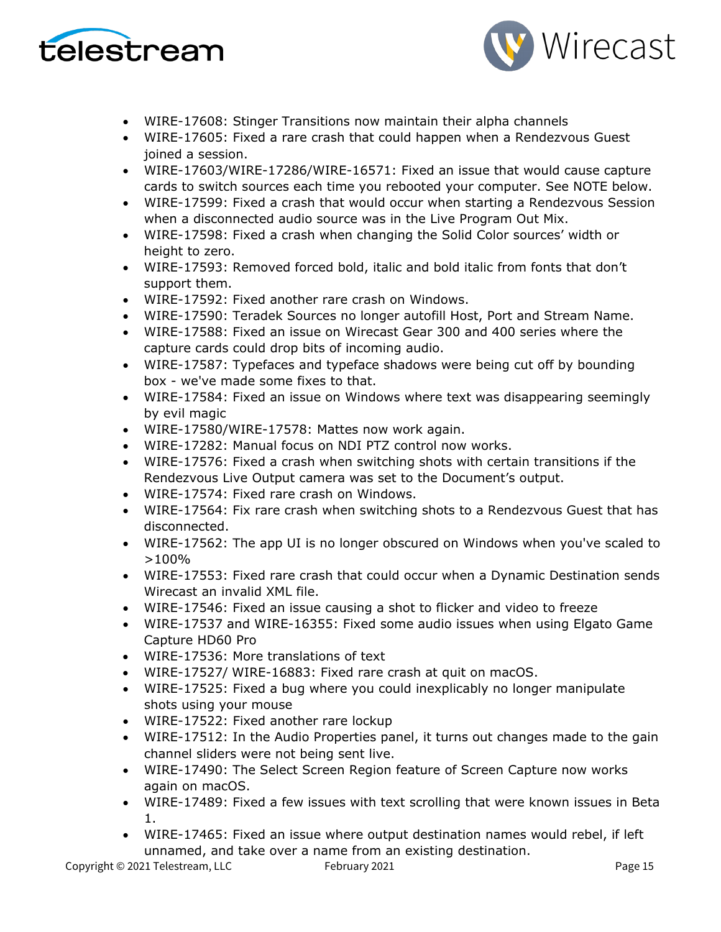



- WIRE-17608: Stinger Transitions now maintain their alpha channels
- WIRE-17605: Fixed a rare crash that could happen when a Rendezvous Guest joined a session.
- WIRE-17603/WIRE-17286/WIRE-16571: Fixed an issue that would cause capture cards to switch sources each time you rebooted your computer. See NOTE below.
- WIRE-17599: Fixed a crash that would occur when starting a Rendezvous Session when a disconnected audio source was in the Live Program Out Mix.
- WIRE-17598: Fixed a crash when changing the Solid Color sources' width or height to zero.
- WIRE-17593: Removed forced bold, italic and bold italic from fonts that don't support them.
- WIRE-17592: Fixed another rare crash on Windows.
- WIRE-17590: Teradek Sources no longer autofill Host, Port and Stream Name.
- WIRE-17588: Fixed an issue on Wirecast Gear 300 and 400 series where the capture cards could drop bits of incoming audio.
- WIRE-17587: Typefaces and typeface shadows were being cut off by bounding box - we've made some fixes to that.
- WIRE-17584: Fixed an issue on Windows where text was disappearing seemingly by evil magic
- WIRE-17580/WIRE-17578: Mattes now work again.
- WIRE-17282: Manual focus on NDI PTZ control now works.
- WIRE-17576: Fixed a crash when switching shots with certain transitions if the Rendezvous Live Output camera was set to the Document's output.
- WIRE-17574: Fixed rare crash on Windows.
- WIRE-17564: Fix rare crash when switching shots to a Rendezvous Guest that has disconnected.
- WIRE-17562: The app UI is no longer obscured on Windows when you've scaled to >100%
- WIRE-17553: Fixed rare crash that could occur when a Dynamic Destination sends Wirecast an invalid XML file.
- WIRE-17546: Fixed an issue causing a shot to flicker and video to freeze
- WIRE-17537 and WIRE-16355: Fixed some audio issues when using Elgato Game Capture HD60 Pro
- WIRE-17536: More translations of text
- WIRE-17527/ WIRE-16883: Fixed rare crash at quit on macOS.
- WIRE-17525: Fixed a bug where you could inexplicably no longer manipulate shots using your mouse
- WIRE-17522: Fixed another rare lockup
- WIRE-17512: In the Audio Properties panel, it turns out changes made to the gain channel sliders were not being sent live.
- WIRE-17490: The Select Screen Region feature of Screen Capture now works again on macOS.
- WIRE-17489: Fixed a few issues with text scrolling that were known issues in Beta 1.
- WIRE-17465: Fixed an issue where output destination names would rebel, if left unnamed, and take over a name from an existing destination.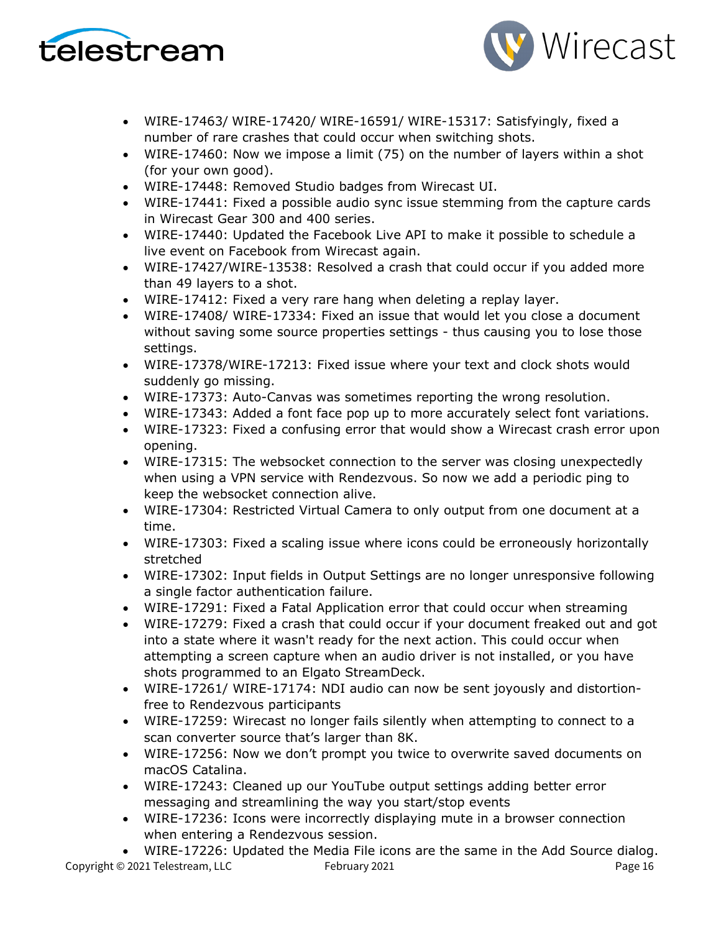



- WIRE-17463/ WIRE-17420/ WIRE-16591/ WIRE-15317: Satisfyingly, fixed a number of rare crashes that could occur when switching shots.
- WIRE-17460: Now we impose a limit (75) on the number of layers within a shot (for your own good).
- WIRE-17448: Removed Studio badges from Wirecast UI.
- WIRE-17441: Fixed a possible audio sync issue stemming from the capture cards in Wirecast Gear 300 and 400 series.
- WIRE-17440: Updated the Facebook Live API to make it possible to schedule a live event on Facebook from Wirecast again.
- WIRE-17427/WIRE-13538: Resolved a crash that could occur if you added more than 49 layers to a shot.
- WIRE-17412: Fixed a very rare hang when deleting a replay layer.
- WIRE-17408/ WIRE-17334: Fixed an issue that would let you close a document without saving some source properties settings - thus causing you to lose those settings.
- WIRE-17378/WIRE-17213: Fixed issue where your text and clock shots would suddenly go missing.
- WIRE-17373: Auto-Canvas was sometimes reporting the wrong resolution.
- WIRE-17343: Added a font face pop up to more accurately select font variations.
- WIRE-17323: Fixed a confusing error that would show a Wirecast crash error upon opening.
- WIRE-17315: The websocket connection to the server was closing unexpectedly when using a VPN service with Rendezvous. So now we add a periodic ping to keep the websocket connection alive.
- WIRE-17304: Restricted Virtual Camera to only output from one document at a time.
- WIRE-17303: Fixed a scaling issue where icons could be erroneously horizontally stretched
- WIRE-17302: Input fields in Output Settings are no longer unresponsive following a single factor authentication failure.
- WIRE-17291: Fixed a Fatal Application error that could occur when streaming
- WIRE-17279: Fixed a crash that could occur if your document freaked out and got into a state where it wasn't ready for the next action. This could occur when attempting a screen capture when an audio driver is not installed, or you have shots programmed to an Elgato StreamDeck.
- WIRE-17261/ WIRE-17174: NDI audio can now be sent joyously and distortionfree to Rendezvous participants
- WIRE-17259: Wirecast no longer fails silently when attempting to connect to a scan converter source that's larger than 8K.
- WIRE-17256: Now we don't prompt you twice to overwrite saved documents on macOS Catalina.
- WIRE-17243: Cleaned up our YouTube output settings adding better error messaging and streamlining the way you start/stop events
- WIRE-17236: Icons were incorrectly displaying mute in a browser connection when entering a Rendezvous session.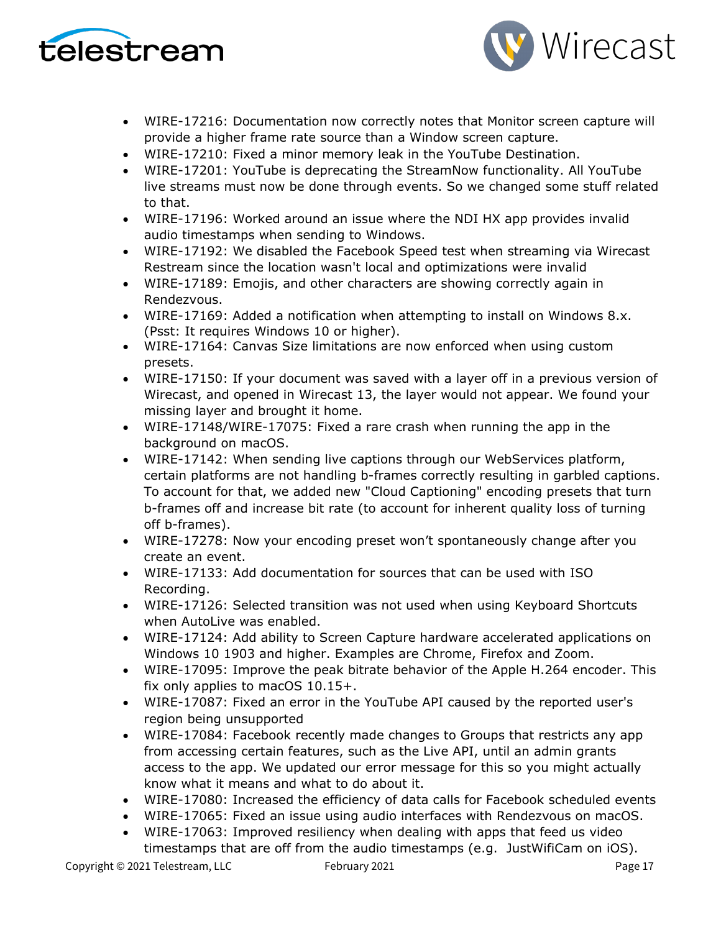



- WIRE-17216: Documentation now correctly notes that Monitor screen capture will provide a higher frame rate source than a Window screen capture.
- WIRE-17210: Fixed a minor memory leak in the YouTube Destination.
- WIRE-17201: YouTube is deprecating the StreamNow functionality. All YouTube live streams must now be done through events. So we changed some stuff related to that.
- WIRE-17196: Worked around an issue where the NDI HX app provides invalid audio timestamps when sending to Windows.
- WIRE-17192: We disabled the Facebook Speed test when streaming via Wirecast Restream since the location wasn't local and optimizations were invalid
- WIRE-17189: Emojis, and other characters are showing correctly again in Rendezvous.
- WIRE-17169: Added a notification when attempting to install on Windows 8.x. (Psst: It requires Windows 10 or higher).
- WIRE-17164: Canvas Size limitations are now enforced when using custom presets.
- WIRE-17150: If your document was saved with a layer off in a previous version of Wirecast, and opened in Wirecast 13, the layer would not appear. We found your missing layer and brought it home.
- WIRE-17148/WIRE-17075: Fixed a rare crash when running the app in the background on macOS.
- WIRE-17142: When sending live captions through our WebServices platform, certain platforms are not handling b-frames correctly resulting in garbled captions. To account for that, we added new "Cloud Captioning" encoding presets that turn b-frames off and increase bit rate (to account for inherent quality loss of turning off b-frames).
- WIRE-17278: Now your encoding preset won't spontaneously change after you create an event.
- WIRE-17133: Add documentation for sources that can be used with ISO Recording.
- WIRE-17126: Selected transition was not used when using Keyboard Shortcuts when AutoLive was enabled.
- WIRE-17124: Add ability to Screen Capture hardware accelerated applications on Windows 10 1903 and higher. Examples are Chrome, Firefox and Zoom.
- WIRE-17095: Improve the peak bitrate behavior of the Apple H.264 encoder. This fix only applies to macOS 10.15+.
- WIRE-17087: Fixed an error in the YouTube API caused by the reported user's region being unsupported
- WIRE-17084: Facebook recently made changes to Groups that restricts any app from accessing certain features, such as the Live API, until an admin grants access to the app. We updated our error message for this so you might actually know what it means and what to do about it.
- WIRE-17080: Increased the efficiency of data calls for Facebook scheduled events
- WIRE-17065: Fixed an issue using audio interfaces with Rendezvous on macOS.
- WIRE-17063: Improved resiliency when dealing with apps that feed us video timestamps that are off from the audio timestamps (e.g. JustWifiCam on iOS).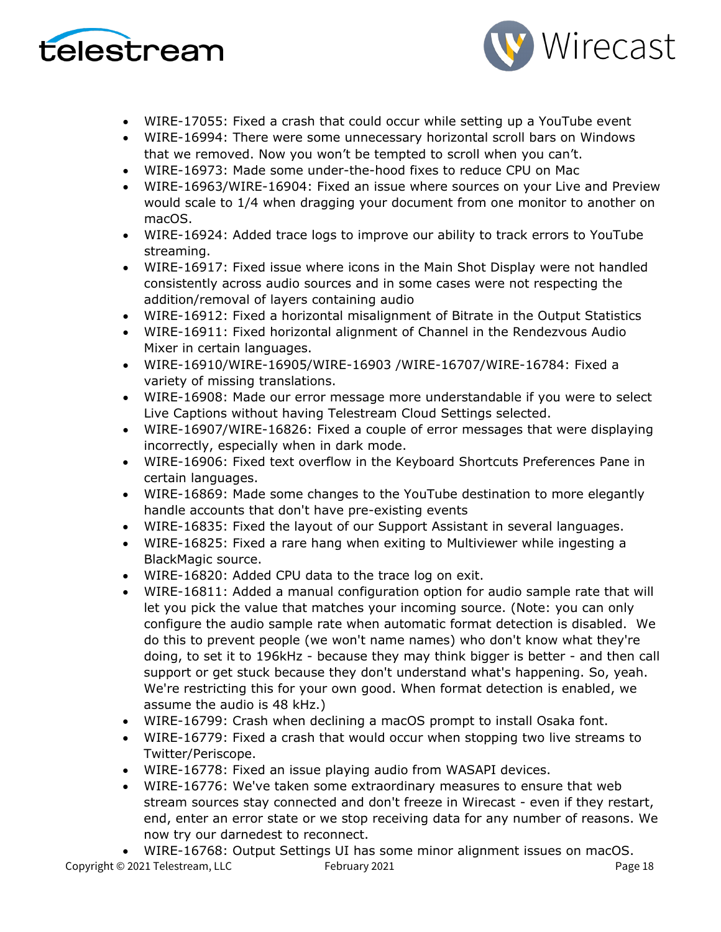



- WIRE-17055: Fixed a crash that could occur while setting up a YouTube event
- WIRE-16994: There were some unnecessary horizontal scroll bars on Windows that we removed. Now you won't be tempted to scroll when you can't.
- WIRE-16973: Made some under-the-hood fixes to reduce CPU on Mac
- WIRE-16963/WIRE-16904: Fixed an issue where sources on your Live and Preview would scale to 1/4 when dragging your document from one monitor to another on macOS.
- WIRE-16924: Added trace logs to improve our ability to track errors to YouTube streaming.
- WIRE-16917: Fixed issue where icons in the Main Shot Display were not handled consistently across audio sources and in some cases were not respecting the addition/removal of layers containing audio
- WIRE-16912: Fixed a horizontal misalignment of Bitrate in the Output Statistics
- WIRE-16911: Fixed horizontal alignment of Channel in the Rendezvous Audio Mixer in certain languages.
- WIRE-16910/WIRE-16905/WIRE-16903 /WIRE-16707/WIRE-16784: Fixed a variety of missing translations.
- WIRE-16908: Made our error message more understandable if you were to select Live Captions without having Telestream Cloud Settings selected.
- WIRE-16907/WIRE-16826: Fixed a couple of error messages that were displaying incorrectly, especially when in dark mode.
- WIRE-16906: Fixed text overflow in the Keyboard Shortcuts Preferences Pane in certain languages.
- WIRE-16869: Made some changes to the YouTube destination to more elegantly handle accounts that don't have pre-existing events
- WIRE-16835: Fixed the layout of our Support Assistant in several languages.
- WIRE-16825: Fixed a rare hang when exiting to Multiviewer while ingesting a BlackMagic source.
- WIRE-16820: Added CPU data to the trace log on exit.
- WIRE-16811: Added a manual configuration option for audio sample rate that will let you pick the value that matches your incoming source. (Note: you can only configure the audio sample rate when automatic format detection is disabled. We do this to prevent people (we won't name names) who don't know what they're doing, to set it to 196kHz - because they may think bigger is better - and then call support or get stuck because they don't understand what's happening. So, yeah. We're restricting this for your own good. When format detection is enabled, we assume the audio is 48 kHz.)
- WIRE-16799: Crash when declining a macOS prompt to install Osaka font.
- WIRE-16779: Fixed a crash that would occur when stopping two live streams to Twitter/Periscope.
- WIRE-16778: Fixed an issue playing audio from WASAPI devices.
- WIRE-16776: We've taken some extraordinary measures to ensure that web stream sources stay connected and don't freeze in Wirecast - even if they restart, end, enter an error state or we stop receiving data for any number of reasons. We now try our darnedest to reconnect.
- WIRE-16768: Output Settings UI has some minor alignment issues on macOS.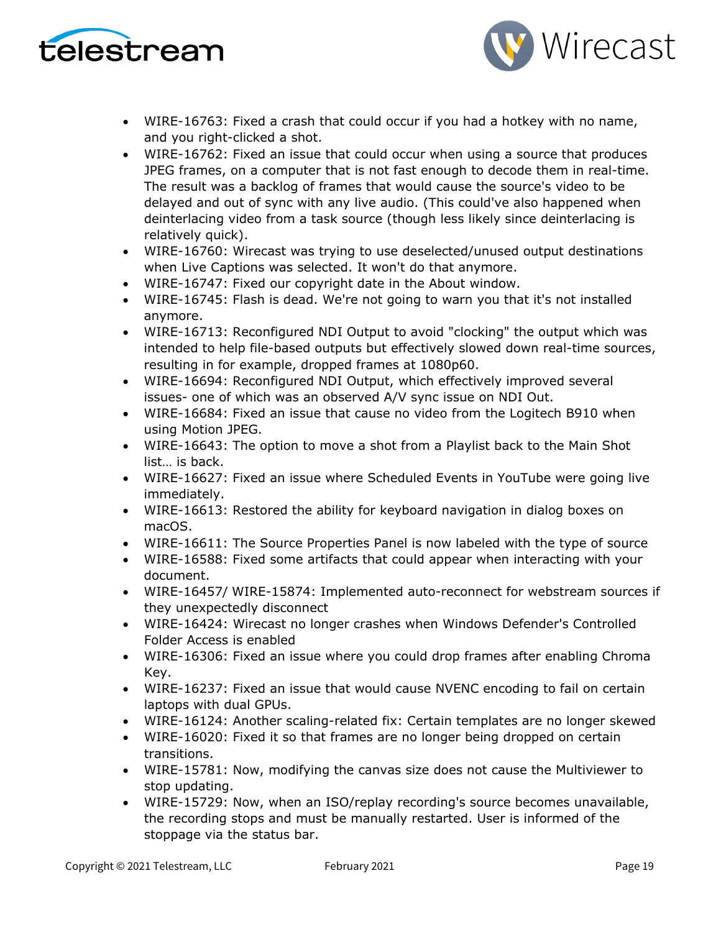



- WIRE-16763: Fixed a crash that could occur if you had a hotkey with no name, and you right-clicked a shot.
- WIRE-16762: Fixed an issue that could occur when using a source that produces JPEG frames, on a computer that is not fast enough to decode them in real-time. The result was a backlog of frames that would cause the source's video to be delayed and out of sync with any live audio. (This could've also happened when deinterlacing video from a task source (though less likely since deinterlacing is relatively quick).
- WIRE-16760: Wirecast was trying to use deselected/unused output destinations when Live Captions was selected. It won't do that anymore.
- WIRE-16747: Fixed our copyright date in the About window.
- WIRE-16745: Flash is dead. We're not going to warn you that it's not installed anymore.
- WIRE-16713: Reconfigured NDI Output to avoid "clocking" the output which was intended to help file-based outputs but effectively slowed down real-time sources, resulting in for example, dropped frames at 1080p60.
- WIRE-16694: Reconfigured NDI Output, which effectively improved several issues- one of which was an observed A/V sync issue on NDI Out.
- WIRE-16684: Fixed an issue that cause no video from the Logitech B910 when using Motion JPEG.
- WIRE-16643: The option to move a shot from a Playlist back to the Main Shot list… is back.
- WIRE-16627: Fixed an issue where Scheduled Events in YouTube were going live immediately.
- WIRE-16613: Restored the ability for keyboard navigation in dialog boxes on macOS.
- WIRE-16611: The Source Properties Panel is now labeled with the type of source
- WIRE-16588: Fixed some artifacts that could appear when interacting with your document.
- WIRE-16457/ WIRE-15874: Implemented auto-reconnect for webstream sources if they unexpectedly disconnect
- WIRE-16424: Wirecast no longer crashes when Windows Defender's Controlled Folder Access is enabled
- WIRE-16306: Fixed an issue where you could drop frames after enabling Chroma Key.
- WIRE-16237: Fixed an issue that would cause NVENC encoding to fail on certain laptops with dual GPUs.
- WIRE-16124: Another scaling-related fix: Certain templates are no longer skewed
- WIRE-16020: Fixed it so that frames are no longer being dropped on certain transitions.
- WIRE-15781: Now, modifying the canvas size does not cause the Multiviewer to stop updating.
- WIRE-15729: Now, when an ISO/replay recording's source becomes unavailable, the recording stops and must be manually restarted. User is informed of the stoppage via the status bar.